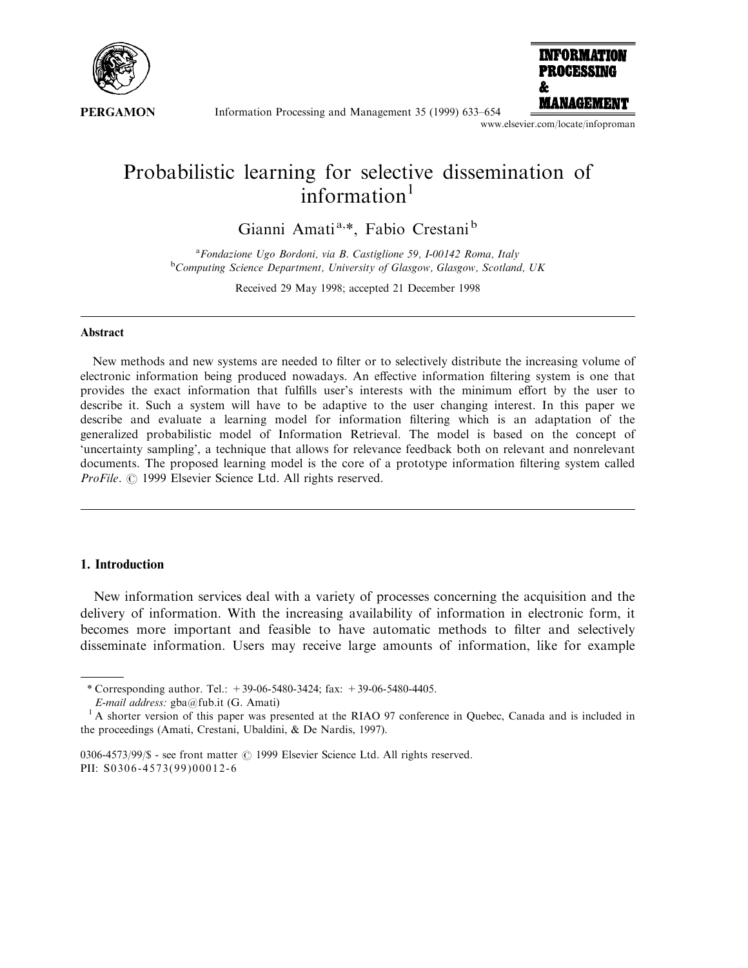

Information Processing and Management 35 (1999) 633–654



www.elsevier.com/locate/infoproman

# Probabilistic learning for selective dissemination of information $1$

Gianni Amati<sup>a,\*</sup>, Fabio Crestani<sup>b</sup>

<sup>a</sup> Fondazione Ugo Bordoni, via B. Castiglione 59, I-00142 Roma, Italy<br><sup>b</sup>Computing Science Department University of Glasgow Glasgow, Scotland Computing Science Department, University of Glasgow, Glasgow, Scotland, UK

Received 29 May 1998; accepted 21 December 1998

#### Abstract

New methods and new systems are needed to filter or to selectively distribute the increasing volume of electronic information being produced nowadays. An effective information filtering system is one that provides the exact information that fulfills user's interests with the minimum effort by the user to describe it. Such a system will have to be adaptive to the user changing interest. In this paper we describe and evaluate a learning model for information filtering which is an adaptation of the generalized probabilistic model of Information Retrieval. The model is based on the concept of `uncertainty sampling', a technique that allows for relevance feedback both on relevant and nonrelevant documents. The proposed learning model is the core of a prototype information filtering system called ProFile. © 1999 Elsevier Science Ltd. All rights reserved.

# 1. Introduction

New information services deal with a variety of processes concerning the acquisition and the delivery of information. With the increasing availability of information in electronic form, it becomes more important and feasible to have automatic methods to filter and selectively disseminate information. Users may receive large amounts of information, like for example

<sup>\*</sup> Corresponding author. Tel.: +39-06-5480-3424; fax: +39-06-5480-4405.

E-mail address: gba@fub.it (G. Amati)

<sup>&</sup>lt;sup>1</sup> A shorter version of this paper was presented at the RIAO 97 conference in Quebec, Canada and is included in the proceedings (Amati, Crestani, Ubaldini, & De Nardis, 1997).

<sup>0306-4573/99/\$ -</sup> see front matter  $\odot$  1999 Elsevier Science Ltd. All rights reserved. PII: S0306-4573(99)00012-6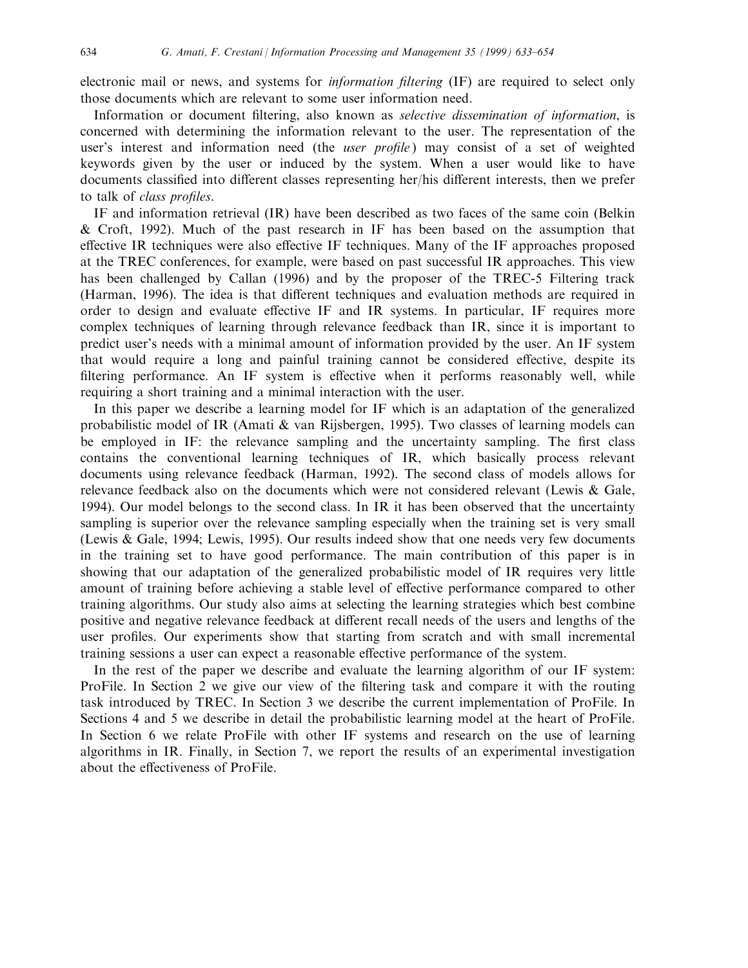electronic mail or news, and systems for information filtering (IF) are required to select only those documents which are relevant to some user information need.

Information or document filtering, also known as selective dissemination of information, is concerned with determining the information relevant to the user. The representation of the user's interest and information need (the *user profile*) may consist of a set of weighted keywords given by the user or induced by the system. When a user would like to have documents classified into different classes representing her/his different interests, then we prefer to talk of *class profiles*.

IF and information retrieval (IR) have been described as two faces of the same coin (Belkin & Croft, 1992). Much of the past research in IF has been based on the assumption that effective IR techniques were also effective IF techniques. Many of the IF approaches proposed at the TREC conferences, for example, were based on past successful IR approaches. This view has been challenged by Callan (1996) and by the proposer of the TREC-5 Filtering track (Harman, 1996). The idea is that different techniques and evaluation methods are required in order to design and evaluate effective IF and IR systems. In particular, IF requires more complex techniques of learning through relevance feedback than IR, since it is important to predict user's needs with a minimal amount of information provided by the user. An IF system that would require a long and painful training cannot be considered effective, despite its filtering performance. An IF system is effective when it performs reasonably well, while requiring a short training and a minimal interaction with the user.

In this paper we describe a learning model for IF which is an adaptation of the generalized probabilistic model of IR (Amati & van Rijsbergen, 1995). Two classes of learning models can be employed in IF: the relevance sampling and the uncertainty sampling. The first class contains the conventional learning techniques of IR, which basically process relevant documents using relevance feedback (Harman, 1992). The second class of models allows for relevance feedback also on the documents which were not considered relevant (Lewis & Gale, 1994). Our model belongs to the second class. In IR it has been observed that the uncertainty sampling is superior over the relevance sampling especially when the training set is very small (Lewis & Gale, 1994; Lewis, 1995). Our results indeed show that one needs very few documents in the training set to have good performance. The main contribution of this paper is in showing that our adaptation of the generalized probabilistic model of IR requires very little amount of training before achieving a stable level of effective performance compared to other training algorithms. Our study also aims at selecting the learning strategies which best combine positive and negative relevance feedback at different recall needs of the users and lengths of the user profiles. Our experiments show that starting from scratch and with small incremental training sessions a user can expect a reasonable effective performance of the system.

In the rest of the paper we describe and evaluate the learning algorithm of our IF system: ProFile. In Section 2 we give our view of the filtering task and compare it with the routing task introduced by TREC. In Section 3 we describe the current implementation of ProFile. In Sections 4 and 5 we describe in detail the probabilistic learning model at the heart of ProFile. In Section 6 we relate ProFile with other IF systems and research on the use of learning algorithms in IR. Finally, in Section 7, we report the results of an experimental investigation about the effectiveness of ProFile.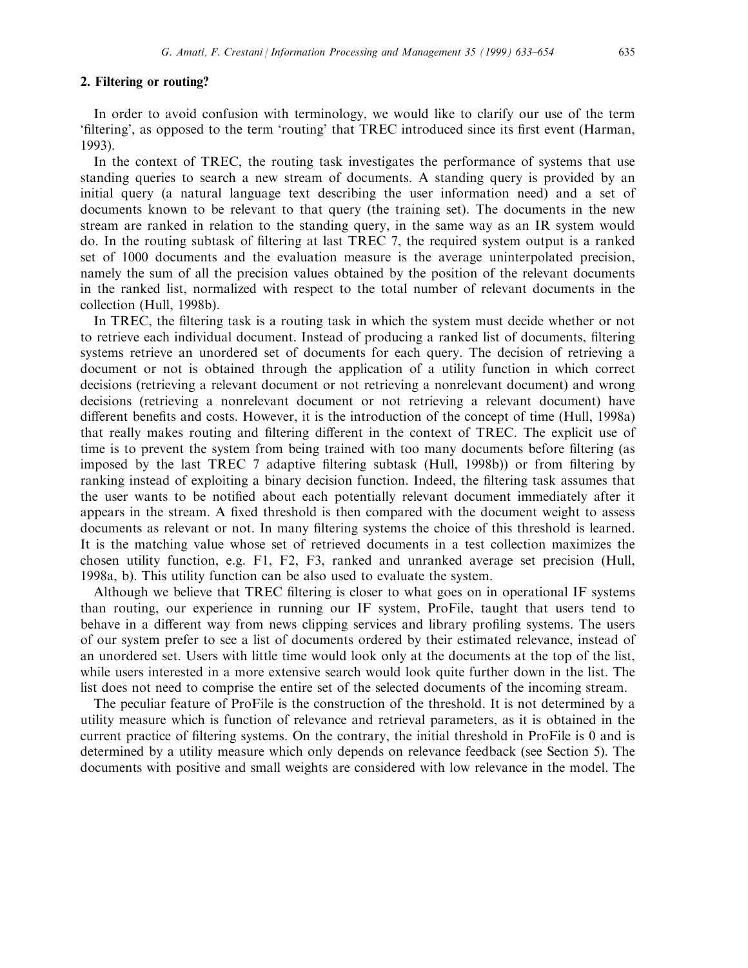## 2. Filtering or routing?

In order to avoid confusion with terminology, we would like to clarify our use of the term 'filtering', as opposed to the term 'routing' that TREC introduced since its first event (Harman, 1993).

In the context of TREC, the routing task investigates the performance of systems that use standing queries to search a new stream of documents. A standing query is provided by an initial query (a natural language text describing the user information need) and a set of documents known to be relevant to that query (the training set). The documents in the new stream are ranked in relation to the standing query, in the same way as an IR system would do. In the routing subtask of filtering at last TREC 7, the required system output is a ranked set of 1000 documents and the evaluation measure is the average uninterpolated precision, namely the sum of all the precision values obtained by the position of the relevant documents in the ranked list, normalized with respect to the total number of relevant documents in the collection (Hull, 1998b).

In TREC, the filtering task is a routing task in which the system must decide whether or not to retrieve each individual document. Instead of producing a ranked list of documents, filtering systems retrieve an unordered set of documents for each query. The decision of retrieving a document or not is obtained through the application of a utility function in which correct decisions (retrieving a relevant document or not retrieving a nonrelevant document) and wrong decisions (retrieving a nonrelevant document or not retrieving a relevant document) have different benefits and costs. However, it is the introduction of the concept of time (Hull, 1998a) that really makes routing and filtering different in the context of TREC. The explicit use of time is to prevent the system from being trained with too many documents before filtering (as imposed by the last TREC 7 adaptive filtering subtask (Hull, 1998b)) or from filtering by ranking instead of exploiting a binary decision function. Indeed, the filtering task assumes that the user wants to be notified about each potentially relevant document immediately after it appears in the stream. A fixed threshold is then compared with the document weight to assess documents as relevant or not. In many filtering systems the choice of this threshold is learned. It is the matching value whose set of retrieved documents in a test collection maximizes the chosen utility function, e.g. F1, F2, F3, ranked and unranked average set precision (Hull, 1998a, b). This utility function can be also used to evaluate the system.

Although we believe that TREC filtering is closer to what goes on in operational IF systems than routing, our experience in running our IF system, ProFile, taught that users tend to behave in a different way from news clipping services and library profiling systems. The users of our system prefer to see a list of documents ordered by their estimated relevance, instead of an unordered set. Users with little time would look only at the documents at the top of the list, while users interested in a more extensive search would look quite further down in the list. The list does not need to comprise the entire set of the selected documents of the incoming stream.

The peculiar feature of ProFile is the construction of the threshold. It is not determined by a utility measure which is function of relevance and retrieval parameters, as it is obtained in the current practice of filtering systems. On the contrary, the initial threshold in ProFile is 0 and is determined by a utility measure which only depends on relevance feedback (see Section 5). The documents with positive and small weights are considered with low relevance in the model. The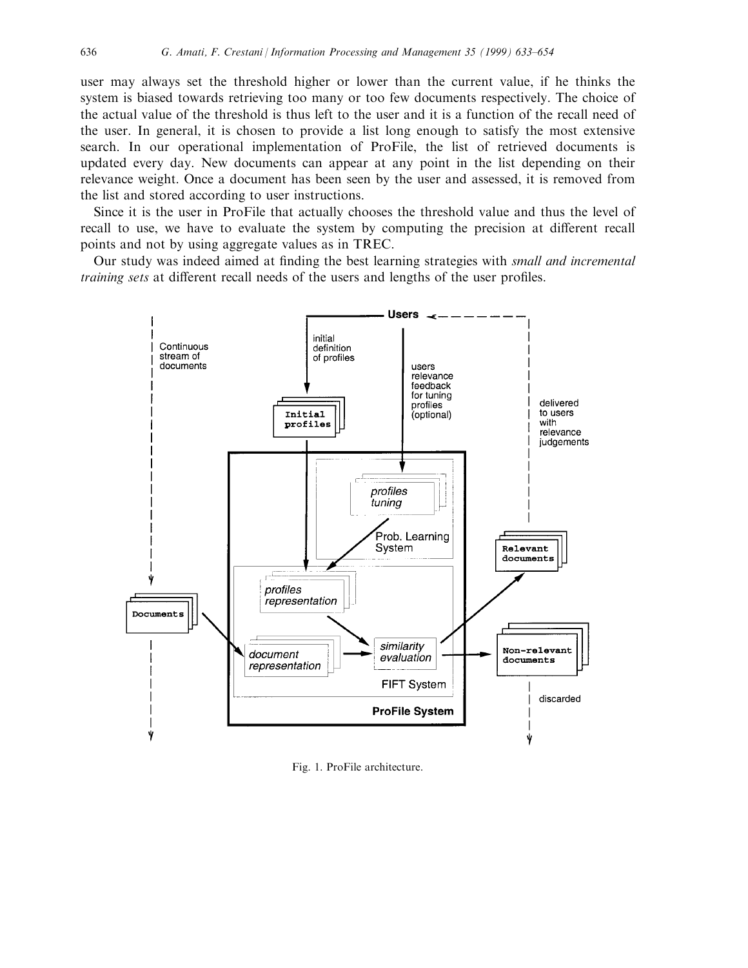user may always set the threshold higher or lower than the current value, if he thinks the system is biased towards retrieving too many or too few documents respectively. The choice of the actual value of the threshold is thus left to the user and it is a function of the recall need of the user. In general, it is chosen to provide a list long enough to satisfy the most extensive search. In our operational implementation of ProFile, the list of retrieved documents is updated every day. New documents can appear at any point in the list depending on their relevance weight. Once a document has been seen by the user and assessed, it is removed from the list and stored according to user instructions.

Since it is the user in ProFile that actually chooses the threshold value and thus the level of recall to use, we have to evaluate the system by computing the precision at different recall points and not by using aggregate values as in TREC.

Our study was indeed aimed at finding the best learning strategies with small and incremental training sets at different recall needs of the users and lengths of the user profiles.



Fig. 1. ProFile architecture.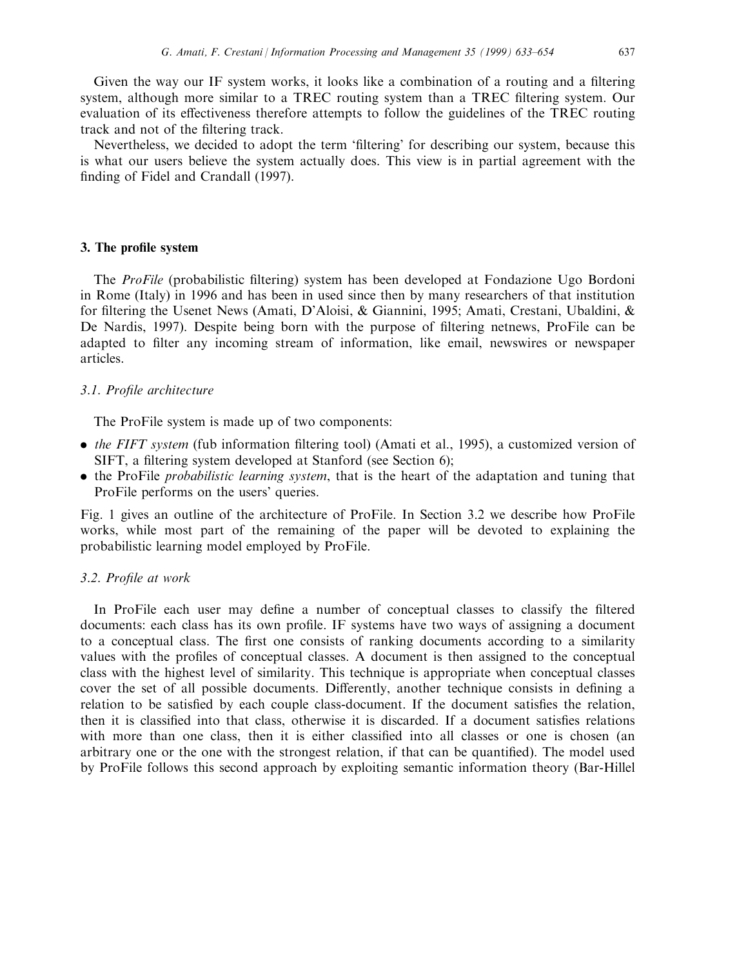Given the way our IF system works, it looks like a combination of a routing and a filtering system, although more similar to a TREC routing system than a TREC filtering system. Our evaluation of its effectiveness therefore attempts to follow the guidelines of the TREC routing track and not of the filtering track.

Nevertheless, we decided to adopt the term 'filtering' for describing our system, because this is what our users believe the system actually does. This view is in partial agreement with the finding of Fidel and Crandall (1997).

## 3. The profile system

The ProFile (probabilistic filtering) system has been developed at Fondazione Ugo Bordoni in Rome (Italy) in 1996 and has been in used since then by many researchers of that institution for filtering the Usenet News (Amati, D'Aloisi, & Giannini, 1995; Amati, Crestani, Ubaldini, & De Nardis, 1997). Despite being born with the purpose of filtering netnews, ProFile can be adapted to filter any incoming stream of information, like email, newswires or newspaper articles.

## 3.1. Profile architecture

The ProFile system is made up of two components:

- $\bullet$  the FIFT system (fub information filtering tool) (Amati et al., 1995), a customized version of SIFT, a filtering system developed at Stanford (see Section 6);
- . the ProFile probabilistic learning system, that is the heart of the adaptation and tuning that ProFile performs on the users' queries.

Fig. 1 gives an outline of the architecture of ProFile. In Section 3.2 we describe how ProFile works, while most part of the remaining of the paper will be devoted to explaining the probabilistic learning model employed by ProFile.

## 3.2. Profile at work

In ProFile each user may define a number of conceptual classes to classify the filtered documents: each class has its own profile. IF systems have two ways of assigning a document to a conceptual class. The first one consists of ranking documents according to a similarity values with the profiles of conceptual classes. A document is then assigned to the conceptual class with the highest level of similarity. This technique is appropriate when conceptual classes cover the set of all possible documents. Differently, another technique consists in defining a relation to be satisfied by each couple class-document. If the document satisfies the relation, then it is classified into that class, otherwise it is discarded. If a document satisfies relations with more than one class, then it is either classified into all classes or one is chosen (an arbitrary one or the one with the strongest relation, if that can be quantified). The model used by ProFile follows this second approach by exploiting semantic information theory (Bar-Hillel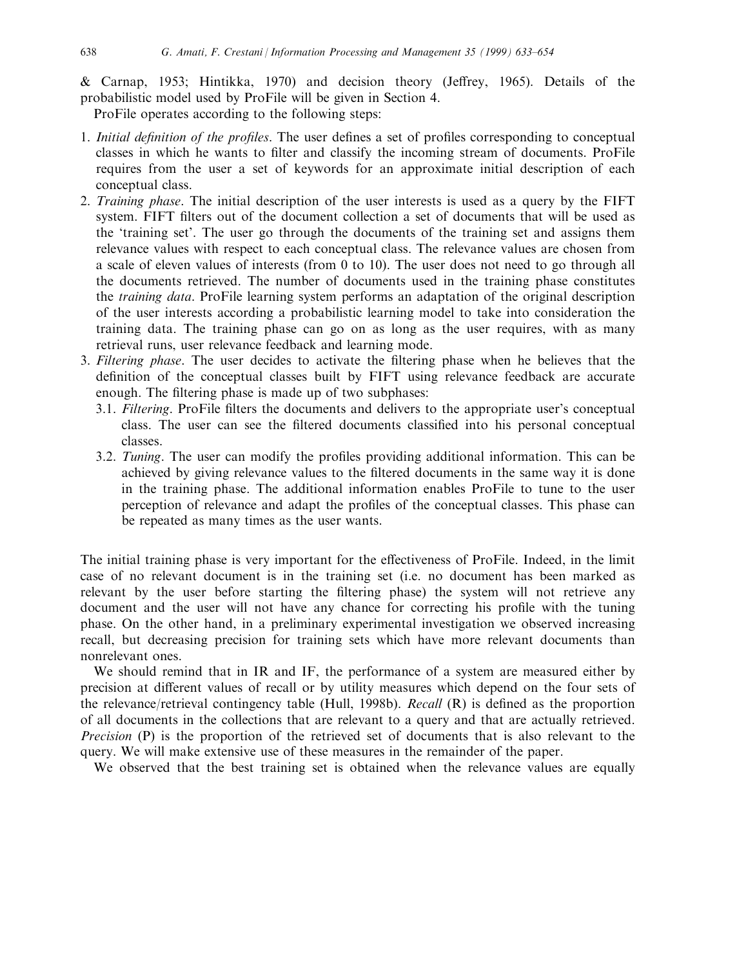& Carnap, 1953; Hintikka, 1970) and decision theory (Jeffrey, 1965). Details of the probabilistic model used by ProFile will be given in Section 4.

ProFile operates according to the following steps:

- 1. Initial definition of the profiles. The user defines a set of profiles corresponding to conceptual classes in which he wants to filter and classify the incoming stream of documents. ProFile requires from the user a set of keywords for an approximate initial description of each conceptual class.
- 2. Training phase. The initial description of the user interests is used as a query by the FIFT system. FIFT filters out of the document collection a set of documents that will be used as the `training set'. The user go through the documents of the training set and assigns them relevance values with respect to each conceptual class. The relevance values are chosen from a scale of eleven values of interests (from 0 to 10). The user does not need to go through all the documents retrieved. The number of documents used in the training phase constitutes the training data. ProFile learning system performs an adaptation of the original description of the user interests according a probabilistic learning model to take into consideration the training data. The training phase can go on as long as the user requires, with as many retrieval runs, user relevance feedback and learning mode.
- 3. Filtering phase. The user decides to activate the filtering phase when he believes that the definition of the conceptual classes built by FIFT using relevance feedback are accurate enough. The filtering phase is made up of two subphases:
	- 3.1. Filtering. ProFile filters the documents and delivers to the appropriate user's conceptual class. The user can see the filtered documents classified into his personal conceptual classes.
	- 3.2. Tuning. The user can modify the profiles providing additional information. This can be achieved by giving relevance values to the filtered documents in the same way it is done in the training phase. The additional information enables ProFile to tune to the user perception of relevance and adapt the profiles of the conceptual classes. This phase can be repeated as many times as the user wants.

The initial training phase is very important for the effectiveness of ProFile. Indeed, in the limit case of no relevant document is in the training set (i.e. no document has been marked as relevant by the user before starting the filtering phase) the system will not retrieve any document and the user will not have any chance for correcting his profile with the tuning phase. On the other hand, in a preliminary experimental investigation we observed increasing recall, but decreasing precision for training sets which have more relevant documents than nonrelevant ones.

We should remind that in IR and IF, the performance of a system are measured either by precision at different values of recall or by utility measures which depend on the four sets of the relevance/retrieval contingency table (Hull, 1998b). *Recall*  $(R)$  is defined as the proportion of all documents in the collections that are relevant to a query and that are actually retrieved. Precision (P) is the proportion of the retrieved set of documents that is also relevant to the query. We will make extensive use of these measures in the remainder of the paper.

We observed that the best training set is obtained when the relevance values are equally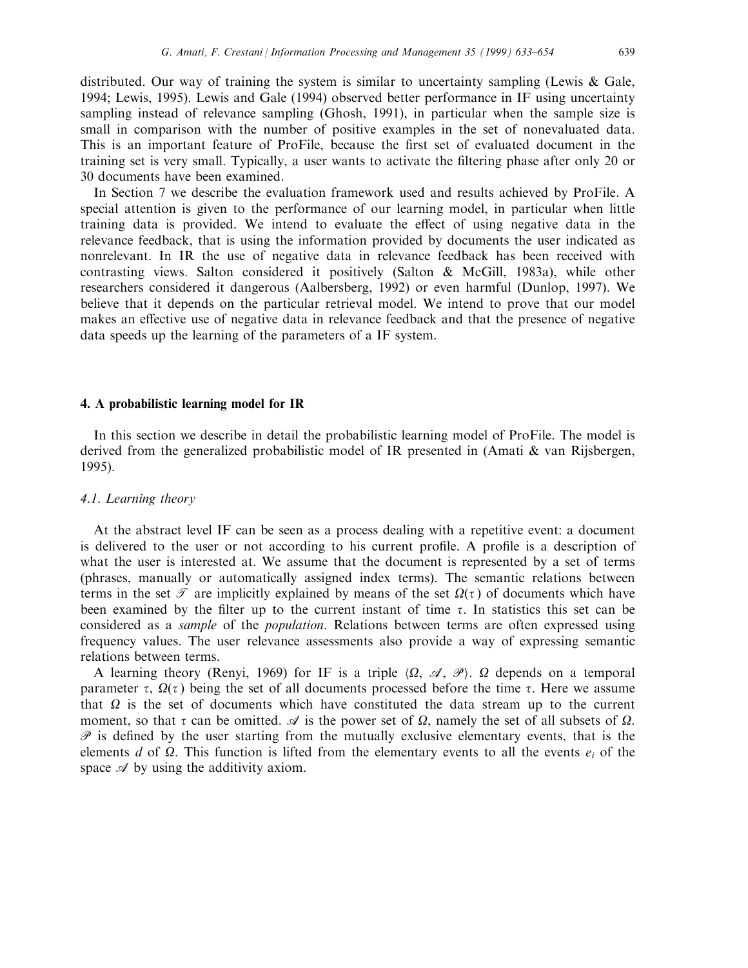distributed. Our way of training the system is similar to uncertainty sampling (Lewis  $\&$  Gale, 1994; Lewis, 1995). Lewis and Gale (1994) observed better performance in IF using uncertainty sampling instead of relevance sampling (Ghosh, 1991), in particular when the sample size is small in comparison with the number of positive examples in the set of nonevaluated data. This is an important feature of ProFile, because the first set of evaluated document in the training set is very small. Typically, a user wants to activate the filtering phase after only 20 or 30 documents have been examined.

In Section 7 we describe the evaluation framework used and results achieved by ProFile. A special attention is given to the performance of our learning model, in particular when little training data is provided. We intend to evaluate the effect of using negative data in the relevance feedback, that is using the information provided by documents the user indicated as nonrelevant. In IR the use of negative data in relevance feedback has been received with contrasting views. Salton considered it positively (Salton & McGill, 1983a), while other researchers considered it dangerous (Aalbersberg, 1992) or even harmful (Dunlop, 1997). We believe that it depends on the particular retrieval model. We intend to prove that our model makes an effective use of negative data in relevance feedback and that the presence of negative data speeds up the learning of the parameters of a IF system.

## 4. A probabilistic learning model for IR

In this section we describe in detail the probabilistic learning model of ProFile. The model is derived from the generalized probabilistic model of IR presented in (Amati & van Rijsbergen, 1995).

# 4.1. Learning theory

At the abstract level IF can be seen as a process dealing with a repetitive event: a document is delivered to the user or not according to his current profile. A profile is a description of what the user is interested at. We assume that the document is represented by a set of terms (phrases, manually or automatically assigned index terms). The semantic relations between terms in the set  $\mathcal T$  are implicitly explained by means of the set  $\Omega(\tau)$  of documents which have been examined by the filter up to the current instant of time  $\tau$ . In statistics this set can be considered as a sample of the population. Relations between terms are often expressed using frequency values. The user relevance assessments also provide a way of expressing semantic relations between terms.

A learning theory (Renyi, 1969) for IF is a triple  $\langle \Omega, \mathcal{A}, \mathcal{P} \rangle$ .  $\Omega$  depends on a temporal parameter  $\tau$ ,  $\Omega(\tau)$  being the set of all documents processed before the time  $\tau$ . Here we assume that  $\Omega$  is the set of documents which have constituted the data stream up to the current moment, so that  $\tau$  can be omitted.  $\mathscr A$  is the power set of  $\Omega$ , namely the set of all subsets of  $\Omega$ .  $\mathscr P$  is defined by the user starting from the mutually exclusive elementary events, that is the elements d of  $\Omega$ . This function is lifted from the elementary events to all the events  $e_i$  of the space  $\mathscr A$  by using the additivity axiom.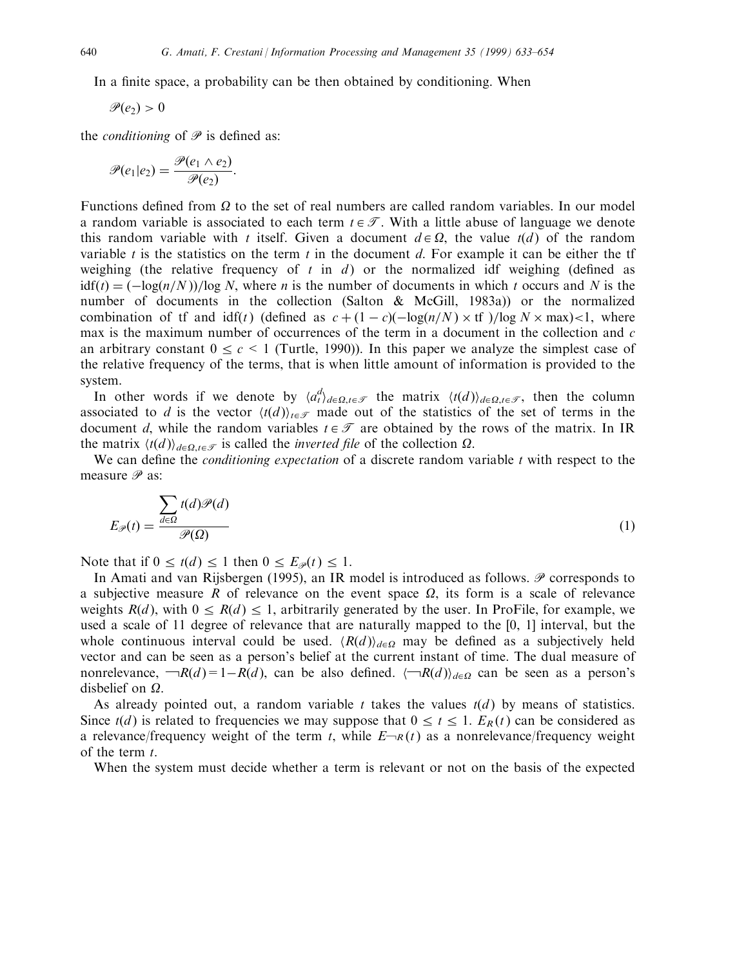In a finite space, a probability can be then obtained by conditioning. When

$$
\mathscr{P}(e_2)>0
$$

the *conditioning* of  $\mathcal P$  is defined as:

$$
\mathscr{P}(e_1|e_2)=\frac{\mathscr{P}(e_1\wedge e_2)}{\mathscr{P}(e_2)}.
$$

Functions defined from  $\Omega$  to the set of real numbers are called random variables. In our model a random variable is associated to each term  $t \in \mathcal{T}$ . With a little abuse of language we denote this random variable with t itself. Given a document  $d \in \Omega$ , the value  $t(d)$  of the random variable  $t$  is the statistics on the term  $t$  in the document  $d$ . For example it can be either the tf weighing (the relative frequency of t in d) or the normalized idf weighing (defined as  $idf(t) = (-\log(n/N))/\log N$ , where *n* is the number of documents in which t occurs and N is the number of documents in the collection (Salton & McGill, 1983a)) or the normalized combination of if and  $\text{idf}(t)$  (defined as  $c + (1 - c)(-\log(n/N) \times \text{tf}) / \log N \times \max) < 1$ , where max is the maximum number of occurrences of the term in a document in the collection and  $c$ an arbitrary constant  $0 \le c \le 1$  (Turtle, 1990)). In this paper we analyze the simplest case of the relative frequency of the terms, that is when little amount of information is provided to the system.

In other words if we denote by  $\langle a_t^d \rangle_{d \in \Omega, t \in \mathcal{T}}$  the matrix  $\langle t(d) \rangle_{d \in \Omega, t \in \mathcal{T}}$ , then the column associated to d is the vector  $\langle t(d) \rangle_{t \in \mathcal{F}}$  made out of the statistics of the set of terms in the document d, while the random variables  $t \in \mathcal{T}$  are obtained by the rows of the matrix. In IR the matrix  $\langle t(d) \rangle_{d \in \Omega, t \in \mathcal{F}}$  is called the *inverted file* of the collection  $\Omega$ .

We can define the *conditioning expectation* of a discrete random variable  $t$  with respect to the measure  $\mathscr P$  as:

$$
E_{\mathcal{P}}(t) = \frac{\sum_{d \in \Omega} t(d)\mathcal{P}(d)}{\mathcal{P}(\Omega)}\tag{1}
$$

Note that if  $0 \le t(d) \le 1$  then  $0 \le E_{\mathcal{P}}(t) \le 1$ .

In Amati and van Rijsbergen (1995), an IR model is introduced as follows.  $\mathscr P$  corresponds to a subjective measure R of relevance on the event space  $\Omega$ , its form is a scale of relevance weights  $R(d)$ , with  $0 \leq R(d) \leq 1$ , arbitrarily generated by the user. In ProFile, for example, we used a scale of 11 degree of relevance that are naturally mapped to the [0, 1] interval, but the whole continuous interval could be used.  $\langle R(d) \rangle_{d \in \Omega}$  may be defined as a subjectively held vector and can be seen as a person's belief at the current instant of time. The dual measure of nonrelevance,  $\neg R(d) = 1 - R(d)$ , can be also defined.  $\langle \neg R(d) \rangle_{d \in \Omega}$  can be seen as a person's disbelief on  $\Omega$ .

As already pointed out, a random variable  $t$  takes the values  $t(d)$  by means of statistics. Since  $t(d)$  is related to frequencies we may suppose that  $0 \le t \le 1$ .  $E_R(t)$  can be considered as a relevance/frequency weight of the term t, while  $E\rightarrow R(t)$  as a nonrelevance/frequency weight of the term t.

When the system must decide whether a term is relevant or not on the basis of the expected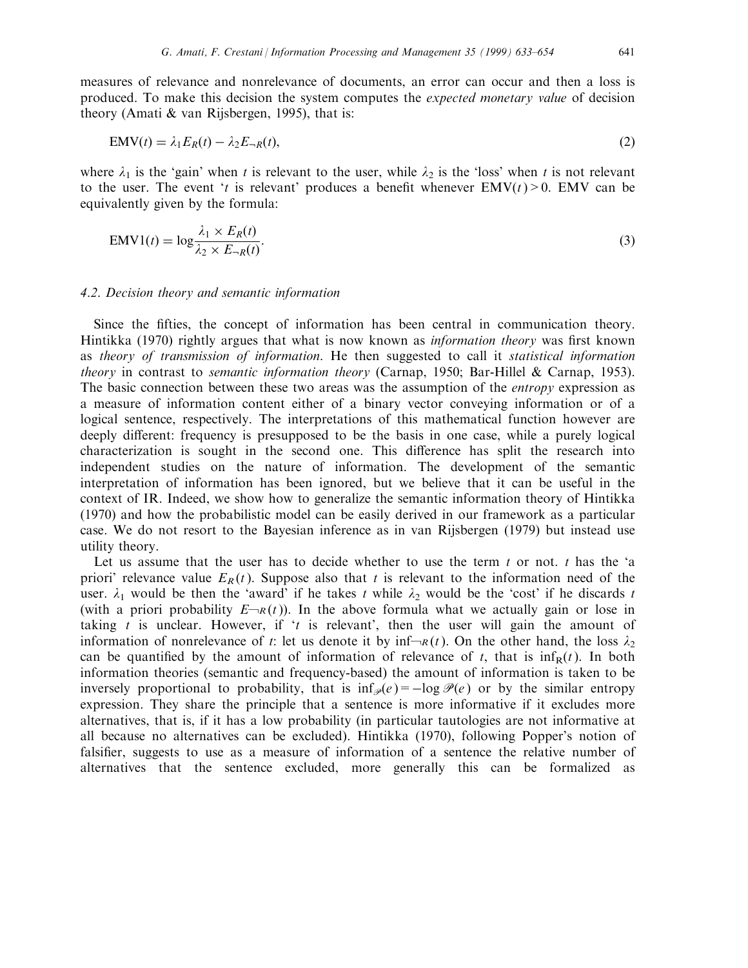measures of relevance and nonrelevance of documents, an error can occur and then a loss is produced. To make this decision the system computes the expected monetary value of decision theory (Amati & van Rijsbergen, 1995), that is:

$$
EMV(t) = \lambda_1 E_R(t) - \lambda_2 E_{-R}(t),
$$
\n(2)

where  $\lambda_1$  is the 'gain' when t is relevant to the user, while  $\lambda_2$  is the 'loss' when t is not relevant to the user. The event 't is relevant' produces a benefit whenever  $EMV(t) > 0$ . EMV can be equivalently given by the formula:

$$
EMV1(t) = \log \frac{\lambda_1 \times E_R(t)}{\lambda_2 \times E_{-R}(t)}.
$$
\n(3)

#### 4.2. Decision theory and semantic information

Since the fifties, the concept of information has been central in communication theory. Hintikka (1970) rightly argues that what is now known as *information theory* was first known as theory of transmission of information. He then suggested to call it statistical information *theory* in contrast to *semantic information theory* (Carnap, 1950; Bar-Hillel & Carnap, 1953). The basic connection between these two areas was the assumption of the *entropy* expression as a measure of information content either of a binary vector conveying information or of a logical sentence, respectively. The interpretations of this mathematical function however are deeply different: frequency is presupposed to be the basis in one case, while a purely logical characterization is sought in the second one. This difference has split the research into independent studies on the nature of information. The development of the semantic interpretation of information has been ignored, but we believe that it can be useful in the context of IR. Indeed, we show how to generalize the semantic information theory of Hintikka (1970) and how the probabilistic model can be easily derived in our framework as a particular case. We do not resort to the Bayesian inference as in van Rijsbergen (1979) but instead use utility theory.

Let us assume that the user has to decide whether to use the term t or not. t has the 'a priori' relevance value  $E_R(t)$ . Suppose also that t is relevant to the information need of the user.  $\lambda_1$  would be then the 'award' if he takes t while  $\lambda_2$  would be the 'cost' if he discards t (with a priori probability  $E\rightarrow R(t)$ ). In the above formula what we actually gain or lose in taking t is unclear. However, if 't is relevant', then the user will gain the amount of information of nonrelevance of t: let us denote it by  $\inf_{R}(t)$ . On the other hand, the loss  $\lambda_2$ can be quantified by the amount of information of relevance of t, that is  $\inf_R(t)$ . In both information theories (semantic and frequency-based) the amount of information is taken to be inversely proportional to probability, that is  $\inf_{\mathscr{P}}(e) = -\log \mathscr{P}(e)$  or by the similar entropy expression. They share the principle that a sentence is more informative if it excludes more alternatives, that is, if it has a low probability (in particular tautologies are not informative at all because no alternatives can be excluded). Hintikka (1970), following Popper's notion of falsifier, suggests to use as a measure of information of a sentence the relative number of alternatives that the sentence excluded, more generally this can be formalized as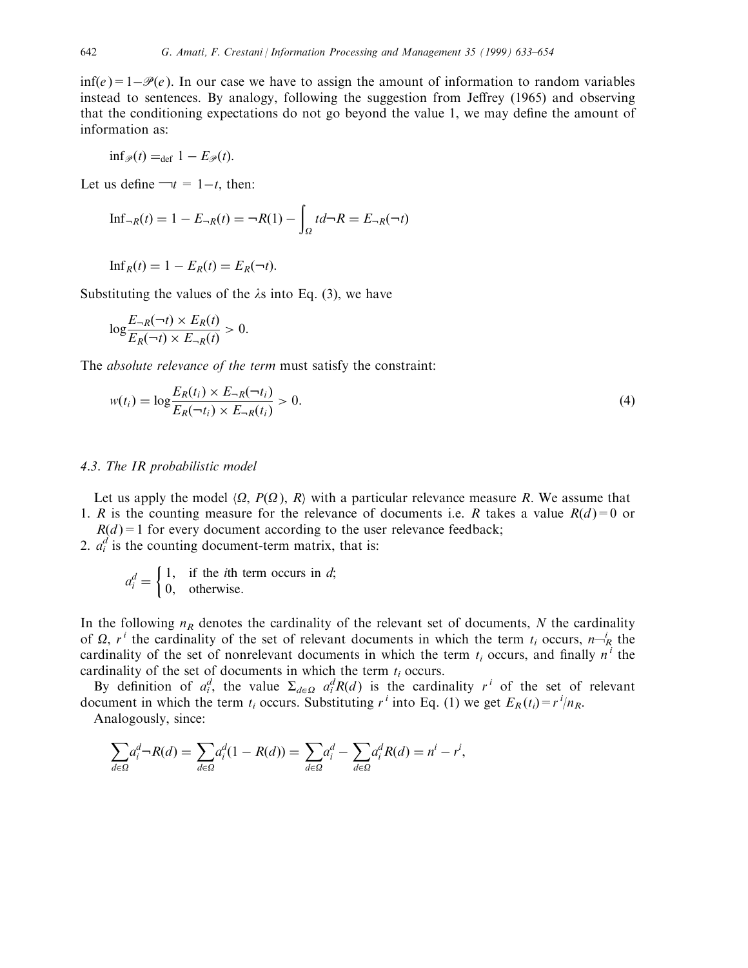$inf(e) = 1-\mathcal{P}(e)$ . In our case we have to assign the amount of information to random variables instead to sentences. By analogy, following the suggestion from Jeffrey (1965) and observing that the conditioning expectations do not go beyond the value 1, we may define the amount of information as:

$$
\inf_{\mathscr{P}}(t) =_{\text{def}} 1 - E_{\mathscr{P}}(t).
$$

Let us define  $\neg t = 1-t$ , then:

$$
\text{Inf}_{-R}(t) = 1 - E_{-R}(t) = \neg R(1) - \int_{\Omega} t d\neg R = E_{-R}(\neg t)
$$

 $\text{Inf}_R(t) = 1 - E_R(t) = E_R(\neg t).$ 

Substituting the values of the  $\lambda$ s into Eq. (3), we have

$$
\log \frac{E_{-R}(\neg t) \times E_R(t)}{E_R(\neg t) \times E_{-R}(t)} > 0.
$$

The absolute relevance of the term must satisfy the constraint:

$$
w(t_i) = \log \frac{E_R(t_i) \times E_{-R}(-t_i)}{E_R(-t_i) \times E_{-R}(t_i)} > 0.
$$
\n(4)

## 4.3. The IR probabilistic model

Let us apply the model  $\langle \Omega, P(\Omega), R \rangle$  with a particular relevance measure R. We assume that 1. R is the counting measure for the relevance of documents i.e. R takes a value  $R(d)=0$  or

 $R(d) = 1$  for every document according to the user relevance feedback;

2.  $a_i^d$  is the counting document-term matrix, that is:

$$
a_i^d = \begin{cases} 1, & \text{if the } i\text{th term occurs in } d; \\ 0, & \text{otherwise.} \end{cases}
$$

In the following  $n_R$  denotes the cardinality of the relevant set of documents, N the cardinality of  $\Omega$ ,  $r^i$  the cardinality of the set of relevant documents in which the term  $t_i$  occurs,  $n\frac{1}{R}$  the cardinality of the set of nonrelevant documents in which the term  $t_i$  occurs, and finally  $n^i$  the cardinality of the set of documents in which the term  $t_i$  occurs.

By definition of  $a_i^d$ , the value  $\Sigma_{d \in \Omega}$   $a_i^d R(d)$  is the cardinality r<sup>i</sup> of the set of relevant document in which the term  $t_i$  occurs. Substituting  $r^i$  into Eq. (1) we get  $E_R(t_i) = r^i/n_R$ . Analogously, since:

$$
\sum_{d\in\Omega}a_i^d \neg R(d) = \sum_{d\in\Omega}a_i^d(1 - R(d)) = \sum_{d\in\Omega}a_i^d - \sum_{d\in\Omega}a_i^d R(d) = n^i - r^i,
$$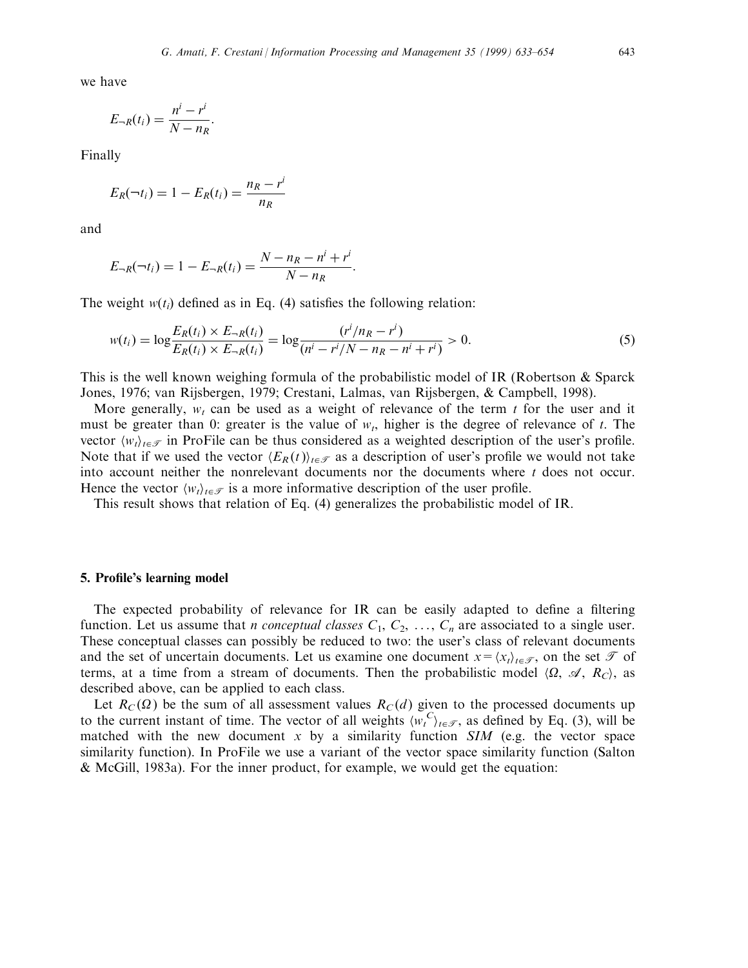we have

$$
E_{-R}(t_i) = \frac{n^i - r^i}{N - n_R}.
$$

Finally

$$
E_R(\neg t_i) = 1 - E_R(t_i) = \frac{n_R - r^i}{n_R}
$$

and

$$
E_{-R}(\neg t_i) = 1 - E_{-R}(t_i) = \frac{N - n_R - n^i + r^i}{N - n_R}.
$$

The weight  $w(t_i)$  defined as in Eq. (4) satisfies the following relation:

$$
w(t_i) = \log \frac{E_R(t_i) \times E_{-R}(t_i)}{E_R(t_i) \times E_{-R}(t_i)} = \log \frac{(r^i/n_R - r^i)}{(n^i - r^i/N - n_R - n^i + r^i)} > 0.
$$
\n<sup>(5)</sup>

This is the well known weighing formula of the probabilistic model of IR (Robertson & Sparck Jones, 1976; van Rijsbergen, 1979; Crestani, Lalmas, van Rijsbergen, & Campbell, 1998).

More generally,  $w_t$  can be used as a weight of relevance of the term t for the user and it must be greater than 0: greater is the value of  $w_t$ , higher is the degree of relevance of t. The vector  $\langle w_t \rangle_{t \in \mathcal{T}}$  in ProFile can be thus considered as a weighted description of the user's profile. Note that if we used the vector  $\langle E_R (t) \rangle_{t \in \mathcal{F}}$  as a description of user's profile we would not take into account neither the nonrelevant documents nor the documents where  $t$  does not occur. Hence the vector  $\langle w_t \rangle_{t \in \mathcal{T}}$  is a more informative description of the user profile.

This result shows that relation of Eq. (4) generalizes the probabilistic model of IR.

## 5. Profile's learning model

The expected probability of relevance for IR can be easily adapted to define a filtering function. Let us assume that *n conceptual classes*  $C_1, C_2, \ldots, C_n$  are associated to a single user. These conceptual classes can possibly be reduced to two: the user's class of relevant documents and the set of uncertain documents. Let us examine one document  $x = \langle x_t \rangle_{t \in \mathcal{F}}$ , on the set  $\mathcal{T}$  of terms, at a time from a stream of documents. Then the probabilistic model  $\langle \Omega, \mathcal{A}, R_{\gamma} \rangle$ , as described above, can be applied to each class.

Let  $R_C(\Omega)$  be the sum of all assessment values  $R_C(d)$  given to the processed documents up to the current instant of time. The vector of all weights  $\langle w_t^C \rangle_{t \in \mathcal{T}}$ , as defined by Eq. (3), will be matched with the new document  $x$  by a similarity function  $SIM$  (e.g. the vector space similarity function). In ProFile we use a variant of the vector space similarity function (Salton & McGill, 1983a). For the inner product, for example, we would get the equation: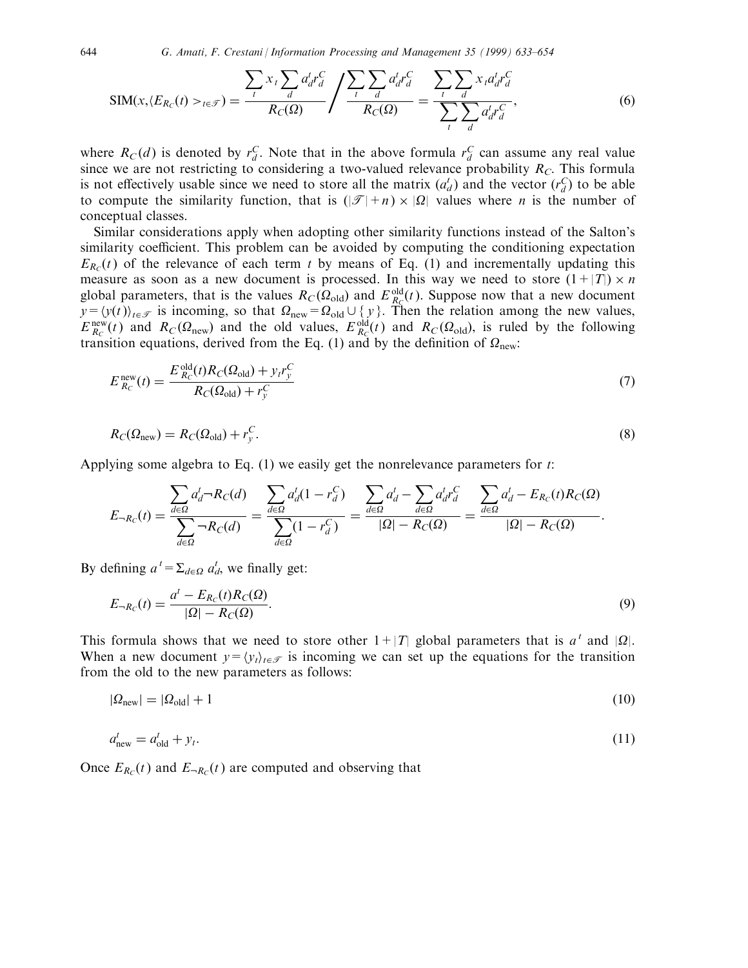$$
SIM(x, \langle E_{R_C}(t) >_{t \in \mathcal{F}}) = \frac{\sum_{t} x_t \sum_{d} a_d^t r_d^C}{R_C(\Omega)} / \frac{\sum_{t} \sum_{d} a_d^t r_d^C}{R_C(\Omega)} = \frac{\sum_{t} \sum_{d} x_t a_d^t r_d^C}{\sum_{t} \sum_{d} a_d^t r_d^C},\tag{6}
$$

where  $R_C(d)$  is denoted by  $r_d^C$ . Note that in the above formula  $r_d^C$  can assume any real value since we are not restricting to considering a two-valued relevance probability  $R<sub>C</sub>$ . This formula is not effectively usable since we need to store all the matrix  $(a_d)$  and the vector  $(r_d^C)$  to be able to compute the similarity function, that is  $(|\mathcal{T}| + n) \times |Q|$  values where *n* is the number of conceptual classes.

Similar considerations apply when adopting other similarity functions instead of the Salton's similarity coefficient. This problem can be avoided by computing the conditioning expectation  $E_{R<sub>c</sub>}(t)$  of the relevance of each term t by means of Eq. (1) and incrementally updating this measure as soon as a new document is processed. In this way we need to store  $(1+|T|) \times n$ global parameters, that is the values  $R_C(\Omega_{old})$  and  $E_{R_C}^{old}(t)$ . Suppose now that a new document  $y = \langle y(t) \rangle_{t \in \mathcal{F}}$  is incoming, so that  $\Omega_{\text{new}} = \Omega_{\text{old}} \cup \{ y \}$ . Then the relation among the new values,  $E_{R_C}^{\text{new}}(t)$  and  $R_C(\Omega_{\text{new}})$  and the old values,  $E_{R_C}^{\text{old}}(t)$  and  $R_C(\Omega_{\text{old}})$ , is ruled by the following transition equations, derived from the Eq. (1) and by the definition of  $\Omega_{\text{new}}$ .

$$
E_{R_C}^{\text{new}}(t) = \frac{E_{R_C}^{\text{old}}(t)R_C(\Omega_{\text{old}}) + y_t r_y^C}{R_C(\Omega_{\text{old}}) + r_y^C}
$$
(7)

$$
R_C(\Omega_{\text{new}}) = R_C(\Omega_{\text{old}}) + r_y^C. \tag{8}
$$

Applying some algebra to Eq.  $(1)$  we easily get the nonrelevance parameters for t:

$$
E_{-R_C}(t) = \frac{\sum_{d \in \Omega} a_d^t - R_C(d)}{\sum_{d \in \Omega} - R_C(d)} = \frac{\sum_{d \in \Omega} a_d^t (1 - r_d^C)}{\sum_{d \in \Omega} (1 - r_d^C)} = \frac{\sum_{d \in \Omega} a_d^t - \sum_{d \in \Omega} a_d^t r_d^C}{|\Omega| - R_C(\Omega)} = \frac{\sum_{d \in \Omega} a_d^t - E_{R_C}(t) R_C(\Omega)}{|\Omega| - R_C(\Omega)}.
$$

By defining  $a^t = \sum_{d \in \Omega} a_d^t$ , we finally get:

$$
E_{-R_C}(t) = \frac{a^t - E_{R_C}(t)R_C(\Omega)}{|\Omega| - R_C(\Omega)}.
$$
\n(9)

This formula shows that we need to store other  $1+|T|$  global parameters that is  $a^t$  and  $|\Omega|$ . When a new document  $y = \langle y_t \rangle_{t \in \mathcal{F}}$  is incoming we can set up the equations for the transition from the old to the new parameters as follows:

$$
|\Omega_{\text{new}}| = |\Omega_{\text{old}}| + 1 \tag{10}
$$

$$
a_{\text{new}}^t = a_{\text{old}}^t + y_t. \tag{11}
$$

Once  $E_{R_C}(t)$  and  $E_{-R_C}(t)$  are computed and observing that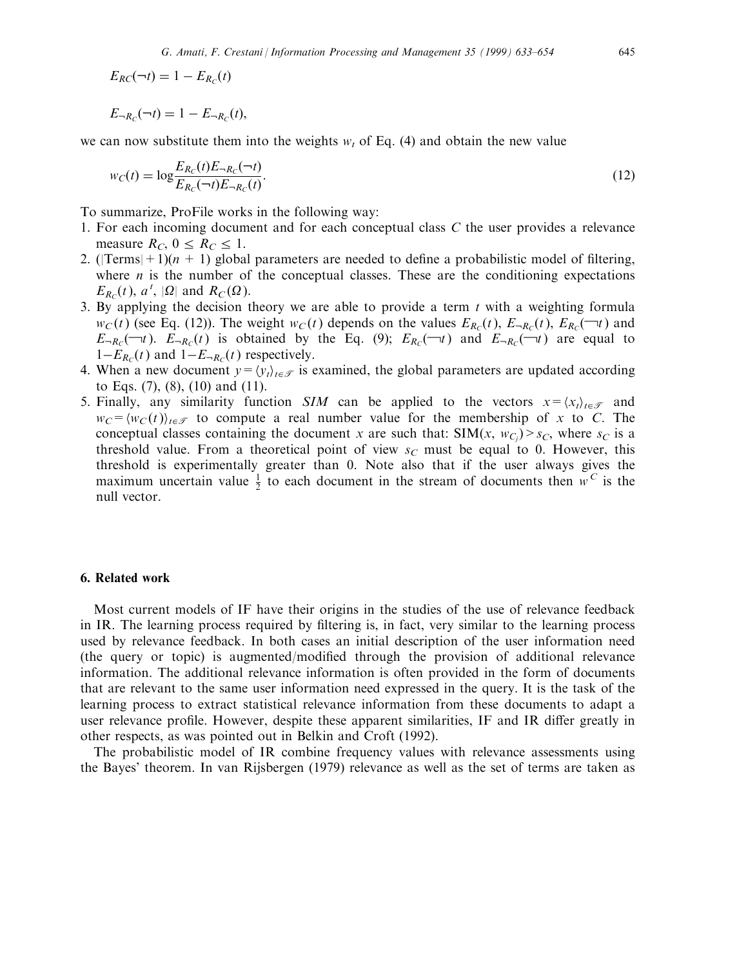$E_{RC}(\neg t) = 1 - E_{R_C}(t)$ 

 $E_{-R_C}(\neg t) = 1 - E_{-R_C}(t),$ 

we can now substitute them into the weights  $w_t$  of Eq. (4) and obtain the new value

$$
w_C(t) = \log \frac{E_{R_C}(t)E_{-R_C}(-t)}{E_{R_C}(-t)E_{-R_C}(t)}.
$$
\n(12)

To summarize, ProFile works in the following way:

- 1. For each incoming document and for each conceptual class C the user provides a relevance measure  $R_C$ ,  $0 \leq R_C \leq 1$ .
- 2. (|Terms| + 1)( $n + 1$ ) global parameters are needed to define a probabilistic model of filtering, where  $n$  is the number of the conceptual classes. These are the conditioning expectations  $E_{R_C}(t)$ ,  $a^t$ ,  $|\Omega|$  and  $R_C(\Omega)$ .
- 3. By applying the decision theory we are able to provide a term  $t$  with a weighting formula  $w_C(t)$  (see Eq. (12)). The weight  $w_C(t)$  depends on the values  $E_{R_C}(t)$ ,  $E_{-R_C}(t)$ ,  $E_{R_C}(\neg t)$  and  $E_{-R_C}(\tau)$ .  $E_{-R_C}(t)$  is obtained by the Eq. (9);  $E_{R_C}(\tau)$  and  $E_{-R_C}(\tau)$  are equal to  $1-E_{R_C}(t)$  and  $1-E_{-R_C}(t)$  respectively.
- 4. When a new document  $y = \langle y_t \rangle_{t \in \mathcal{T}}$  is examined, the global parameters are updated according to Eqs. (7), (8), (10) and (11).
- 5. Finally, any similarity function SIM can be applied to the vectors  $x = \langle x_t \rangle_{t \in \mathcal{F}}$  and  $w_C = \langle w_C (t) \rangle_{t \in \mathcal{F}}$  to compute a real number value for the membership of x to C. The conceptual classes containing the document x are such that: SIM(x,  $w_{C_j}$ ) >  $s_C$ , where  $s_C$  is a threshold value. From a theoretical point of view  $s<sub>C</sub>$  must be equal to 0. However, this threshold is experimentally greater than 0. Note also that if the user always gives the maximum uncertain value  $\frac{1}{2}$  to each document in the stream of documents then  $w^C$  is the null vector.

## 6. Related work

Most current models of IF have their origins in the studies of the use of relevance feedback in IR. The learning process required by filtering is, in fact, very similar to the learning process used by relevance feedback. In both cases an initial description of the user information need (the query or topic) is augmented/modified through the provision of additional relevance information. The additional relevance information is often provided in the form of documents that are relevant to the same user information need expressed in the query. It is the task of the learning process to extract statistical relevance information from these documents to adapt a user relevance profile. However, despite these apparent similarities, IF and IR differ greatly in other respects, as was pointed out in Belkin and Croft (1992).

The probabilistic model of IR combine frequency values with relevance assessments using the Bayes' theorem. In van Rijsbergen (1979) relevance as well as the set of terms are taken as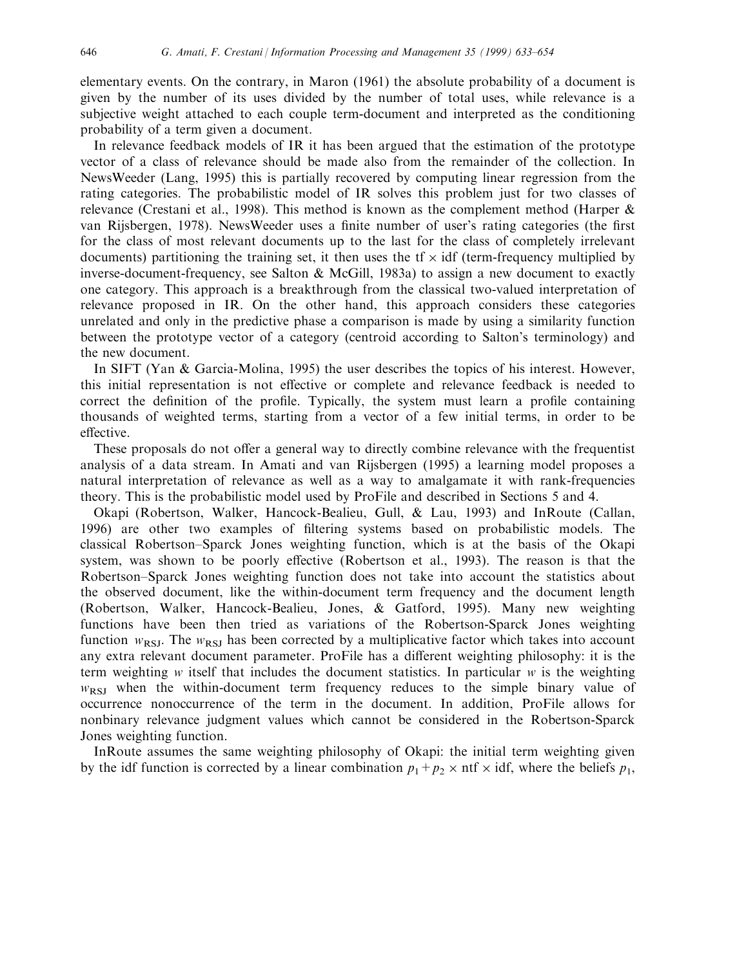elementary events. On the contrary, in Maron (1961) the absolute probability of a document is given by the number of its uses divided by the number of total uses, while relevance is a subjective weight attached to each couple term-document and interpreted as the conditioning probability of a term given a document.

In relevance feedback models of IR it has been argued that the estimation of the prototype vector of a class of relevance should be made also from the remainder of the collection. In NewsWeeder (Lang, 1995) this is partially recovered by computing linear regression from the rating categories. The probabilistic model of IR solves this problem just for two classes of relevance (Crestani et al., 1998). This method is known as the complement method (Harper & van Rijsbergen, 1978). NewsWeeder uses a finite number of user's rating categories (the first for the class of most relevant documents up to the last for the class of completely irrelevant documents) partitioning the training set, it then uses the  $tf \times idf$  (term-frequency multiplied by inverse-document-frequency, see Salton & McGill, 1983a) to assign a new document to exactly one category. This approach is a breakthrough from the classical two-valued interpretation of relevance proposed in IR. On the other hand, this approach considers these categories unrelated and only in the predictive phase a comparison is made by using a similarity function between the prototype vector of a category (centroid according to Salton's terminology) and the new document.

In SIFT (Yan & Garcia-Molina, 1995) the user describes the topics of his interest. However, this initial representation is not effective or complete and relevance feedback is needed to correct the definition of the profile. Typically, the system must learn a profile containing thousands of weighted terms, starting from a vector of a few initial terms, in order to be effective.

These proposals do not offer a general way to directly combine relevance with the frequentist analysis of a data stream. In Amati and van Rijsbergen (1995) a learning model proposes a natural interpretation of relevance as well as a way to amalgamate it with rank-frequencies theory. This is the probabilistic model used by ProFile and described in Sections 5 and 4.

Okapi (Robertson, Walker, Hancock-Bealieu, Gull, & Lau, 1993) and InRoute (Callan, 1996) are other two examples of filtering systems based on probabilistic models. The classical Robertson-Sparck Jones weighting function, which is at the basis of the Okapi system, was shown to be poorly effective (Robertson et al., 1993). The reason is that the Robertson-Sparck Jones weighting function does not take into account the statistics about the observed document, like the within-document term frequency and the document length (Robertson, Walker, Hancock-Bealieu, Jones, & Gatford, 1995). Many new weighting functions have been then tried as variations of the Robertson-Sparck Jones weighting function  $w_{RSI}$ . The  $w_{RSI}$  has been corrected by a multiplicative factor which takes into account any extra relevant document parameter. ProFile has a different weighting philosophy: it is the term weighting  $w$  itself that includes the document statistics. In particular  $w$  is the weighting  $w_{RSI}$  when the within-document term frequency reduces to the simple binary value of occurrence nonoccurrence of the term in the document. In addition, ProFile allows for nonbinary relevance judgment values which cannot be considered in the Robertson-Sparck Jones weighting function.

InRoute assumes the same weighting philosophy of Okapi: the initial term weighting given by the idf function is corrected by a linear combination  $p_1 + p_2 \times$  ntf  $\times$  idf, where the beliefs  $p_1$ ,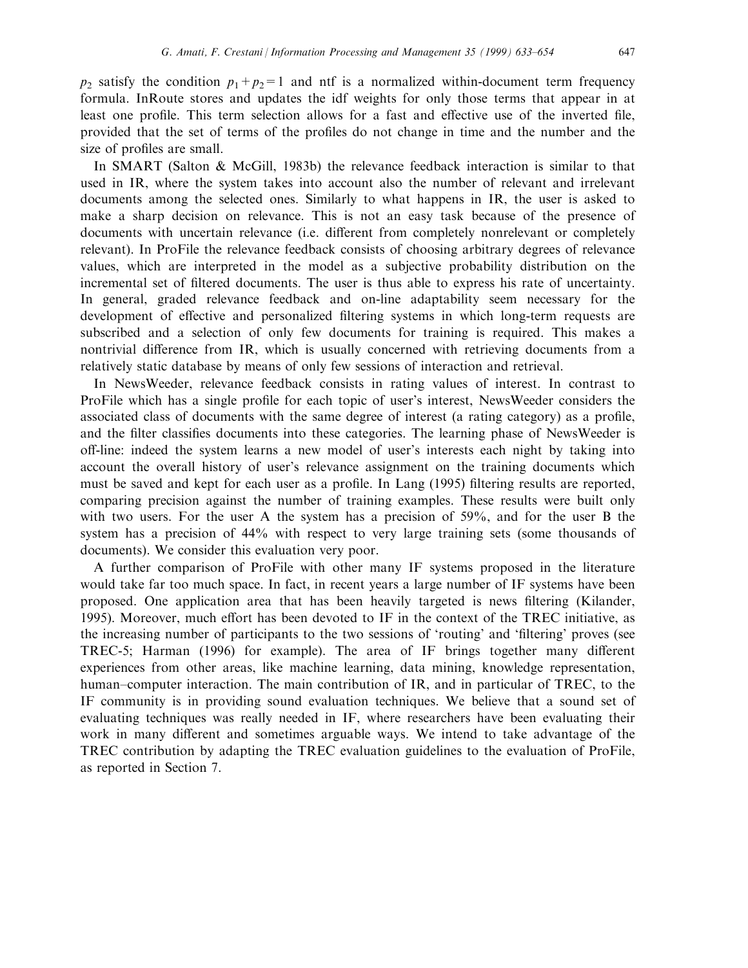$p_2$  satisfy the condition  $p_1+p_2=1$  and ntf is a normalized within-document term frequency formula. InRoute stores and updates the idf weights for only those terms that appear in at least one profile. This term selection allows for a fast and effective use of the inverted file, provided that the set of terms of the profiles do not change in time and the number and the size of profiles are small.

In SMART (Salton & McGill, 1983b) the relevance feedback interaction is similar to that used in IR, where the system takes into account also the number of relevant and irrelevant documents among the selected ones. Similarly to what happens in IR, the user is asked to make a sharp decision on relevance. This is not an easy task because of the presence of documents with uncertain relevance (i.e. different from completely nonrelevant or completely relevant). In ProFile the relevance feedback consists of choosing arbitrary degrees of relevance values, which are interpreted in the model as a subjective probability distribution on the incremental set of filtered documents. The user is thus able to express his rate of uncertainty. In general, graded relevance feedback and on-line adaptability seem necessary for the development of effective and personalized filtering systems in which long-term requests are subscribed and a selection of only few documents for training is required. This makes a nontrivial difference from IR, which is usually concerned with retrieving documents from a relatively static database by means of only few sessions of interaction and retrieval.

In NewsWeeder, relevance feedback consists in rating values of interest. In contrast to ProFile which has a single profile for each topic of user's interest, NewsWeeder considers the associated class of documents with the same degree of interest (a rating category) as a profile, and the filter classifies documents into these categories. The learning phase of NewsWeeder is off-line: indeed the system learns a new model of user's interests each night by taking into account the overall history of user's relevance assignment on the training documents which must be saved and kept for each user as a profile. In Lang (1995) filtering results are reported, comparing precision against the number of training examples. These results were built only with two users. For the user A the system has a precision of 59%, and for the user B the system has a precision of 44% with respect to very large training sets (some thousands of documents). We consider this evaluation very poor.

A further comparison of ProFile with other many IF systems proposed in the literature would take far too much space. In fact, in recent years a large number of IF systems have been proposed. One application area that has been heavily targeted is news filtering (Kilander, 1995). Moreover, much effort has been devoted to IF in the context of the TREC initiative, as the increasing number of participants to the two sessions of 'routing' and 'filtering' proves (see TREC-5; Harman (1996) for example). The area of IF brings together many different experiences from other areas, like machine learning, data mining, knowledge representation, human–computer interaction. The main contribution of IR, and in particular of TREC, to the IF community is in providing sound evaluation techniques. We believe that a sound set of evaluating techniques was really needed in IF, where researchers have been evaluating their work in many different and sometimes arguable ways. We intend to take advantage of the TREC contribution by adapting the TREC evaluation guidelines to the evaluation of ProFile, as reported in Section 7.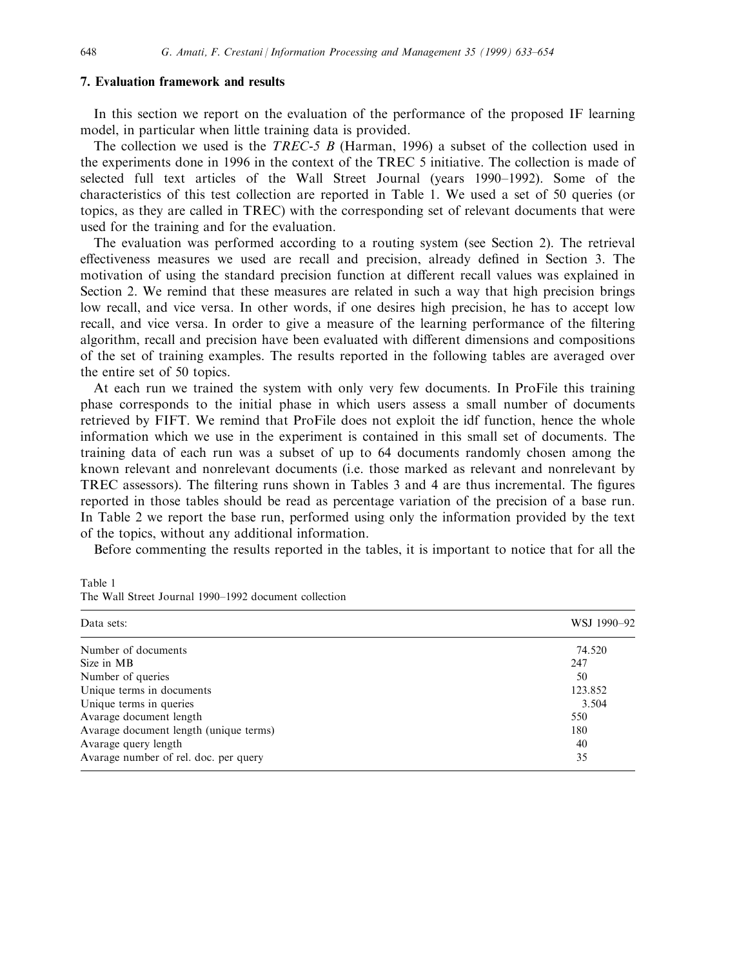### 7. Evaluation framework and results

In this section we report on the evaluation of the performance of the proposed IF learning model, in particular when little training data is provided.

The collection we used is the TREC-5 B (Harman, 1996) a subset of the collection used in the experiments done in 1996 in the context of the TREC 5 initiative. The collection is made of selected full text articles of the Wall Street Journal (years 1990-1992). Some of the characteristics of this test collection are reported in Table 1. We used a set of 50 queries (or topics, as they are called in TREC) with the corresponding set of relevant documents that were used for the training and for the evaluation.

The evaluation was performed according to a routing system (see Section 2). The retrieval effectiveness measures we used are recall and precision, already defined in Section 3. The motivation of using the standard precision function at different recall values was explained in Section 2. We remind that these measures are related in such a way that high precision brings low recall, and vice versa. In other words, if one desires high precision, he has to accept low recall, and vice versa. In order to give a measure of the learning performance of the filtering algorithm, recall and precision have been evaluated with different dimensions and compositions of the set of training examples. The results reported in the following tables are averaged over the entire set of 50 topics.

At each run we trained the system with only very few documents. In ProFile this training phase corresponds to the initial phase in which users assess a small number of documents retrieved by FIFT. We remind that ProFile does not exploit the idf function, hence the whole information which we use in the experiment is contained in this small set of documents. The training data of each run was a subset of up to 64 documents randomly chosen among the known relevant and nonrelevant documents (i.e. those marked as relevant and nonrelevant by TREC assessors). The filtering runs shown in Tables 3 and 4 are thus incremental. The figures reported in those tables should be read as percentage variation of the precision of a base run. In Table 2 we report the base run, performed using only the information provided by the text of the topics, without any additional information.

Before commenting the results reported in the tables, it is important to notice that for all the

| The wall street Journal 1990–1992 document conection |  |
|------------------------------------------------------|--|
| Data sets:                                           |  |
| Number of documents<br>Size in MR                    |  |

Table 1 The Wall Street Journal 1000, 1002 document collection

| Data sets:                             | WSJ 1990-92 |  |
|----------------------------------------|-------------|--|
| Number of documents                    | 74.520      |  |
| Size in MB                             | 247         |  |
| Number of queries                      | 50          |  |
| Unique terms in documents              | 123.852     |  |
| Unique terms in queries                | 3.504       |  |
| Avarage document length                | 550         |  |
| Avarage document length (unique terms) | 180         |  |
| Avarage query length                   | 40          |  |
| Avarage number of rel. doc. per query  | 35          |  |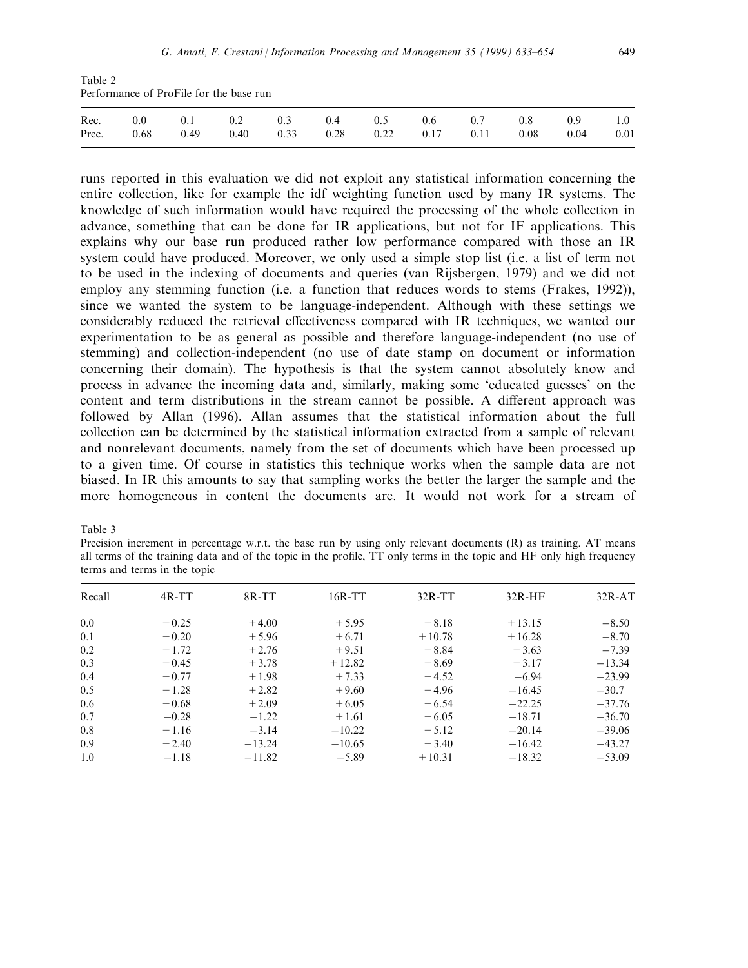Table 2 Performance of ProFile for the base run

|  |  |  | Rec. 0.0 0.1 0.2 0.3 0.4 0.5 0.6 0.7 0.8 0.9 1.0             |  |  |  |
|--|--|--|--------------------------------------------------------------|--|--|--|
|  |  |  | Prec. 0.68 0.49 0.40 0.33 0.28 0.22 0.17 0.11 0.08 0.04 0.01 |  |  |  |

runs reported in this evaluation we did not exploit any statistical information concerning the entire collection, like for example the idf weighting function used by many IR systems. The knowledge of such information would have required the processing of the whole collection in advance, something that can be done for IR applications, but not for IF applications. This explains why our base run produced rather low performance compared with those an IR system could have produced. Moreover, we only used a simple stop list (i.e. a list of term not to be used in the indexing of documents and queries (van Rijsbergen, 1979) and we did not employ any stemming function (i.e. a function that reduces words to stems (Frakes, 1992)), since we wanted the system to be language-independent. Although with these settings we considerably reduced the retrieval effectiveness compared with IR techniques, we wanted our experimentation to be as general as possible and therefore language-independent (no use of stemming) and collection-independent (no use of date stamp on document or information concerning their domain). The hypothesis is that the system cannot absolutely know and process in advance the incoming data and, similarly, making some `educated guesses' on the content and term distributions in the stream cannot be possible. A different approach was followed by Allan (1996). Allan assumes that the statistical information about the full collection can be determined by the statistical information extracted from a sample of relevant and nonrelevant documents, namely from the set of documents which have been processed up to a given time. Of course in statistics this technique works when the sample data are not biased. In IR this amounts to say that sampling works the better the larger the sample and the more homogeneous in content the documents are. It would not work for a stream of

Table 3

Precision increment in percentage w.r.t. the base run by using only relevant documents (R) as training. AT means all terms of the training data and of the topic in the profile, TT only terms in the topic and HF only high frequency terms and terms in the topic

| Recall | $4R-TT$ | 8R-TT    | $16R-TT$ | $32R-TT$ | $32R-HF$ | $32R-AT$ |
|--------|---------|----------|----------|----------|----------|----------|
| 0.0    | $+0.25$ | $+4.00$  | $+5.95$  | $+8.18$  | $+13.15$ | $-8.50$  |
| 0.1    | $+0.20$ | $+5.96$  | $+6.71$  | $+10.78$ | $+16.28$ | $-8.70$  |
| 0.2    | $+1.72$ | $+2.76$  | $+9.51$  | $+8.84$  | $+3.63$  | $-7.39$  |
| 0.3    | $+0.45$ | $+3.78$  | $+12.82$ | $+8.69$  | $+3.17$  | $-13.34$ |
| 0.4    | $+0.77$ | $+1.98$  | $+7.33$  | $+4.52$  | $-6.94$  | $-23.99$ |
| 0.5    | $+1.28$ | $+2.82$  | $+9.60$  | $+4.96$  | $-16.45$ | $-30.7$  |
| 0.6    | $+0.68$ | $+2.09$  | $+6.05$  | $+6.54$  | $-22.25$ | $-37.76$ |
| 0.7    | $-0.28$ | $-1.22$  | $+1.61$  | $+6.05$  | $-18.71$ | $-36.70$ |
| 0.8    | $+1.16$ | $-3.14$  | $-10.22$ | $+5.12$  | $-20.14$ | $-39.06$ |
| 0.9    | $+2.40$ | $-13.24$ | $-10.65$ | $+3.40$  | $-16.42$ | $-43.27$ |
| 1.0    | $-1.18$ | $-11.82$ | $-5.89$  | $+10.31$ | $-18.32$ | $-53.09$ |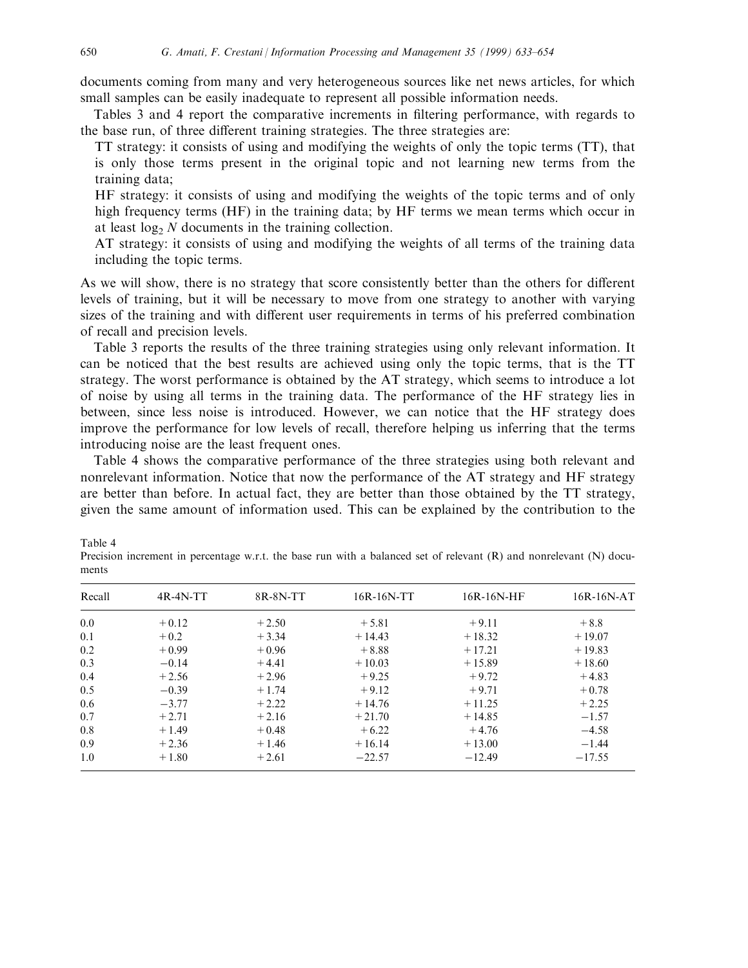documents coming from many and very heterogeneous sources like net news articles, for which small samples can be easily inadequate to represent all possible information needs.

Tables 3 and 4 report the comparative increments in filtering performance, with regards to the base run, of three different training strategies. The three strategies are:

TT strategy: it consists of using and modifying the weights of only the topic terms (TT), that is only those terms present in the original topic and not learning new terms from the training data;

HF strategy: it consists of using and modifying the weights of the topic terms and of only high frequency terms (HF) in the training data; by HF terms we mean terms which occur in at least  $log<sub>2</sub> N$  documents in the training collection.

AT strategy: it consists of using and modifying the weights of all terms of the training data including the topic terms.

As we will show, there is no strategy that score consistently better than the others for different levels of training, but it will be necessary to move from one strategy to another with varying sizes of the training and with different user requirements in terms of his preferred combination of recall and precision levels.

Table 3 reports the results of the three training strategies using only relevant information. It can be noticed that the best results are achieved using only the topic terms, that is the TT strategy. The worst performance is obtained by the AT strategy, which seems to introduce a lot of noise by using all terms in the training data. The performance of the HF strategy lies in between, since less noise is introduced. However, we can notice that the HF strategy does improve the performance for low levels of recall, therefore helping us inferring that the terms introducing noise are the least frequent ones.

Table 4 shows the comparative performance of the three strategies using both relevant and nonrelevant information. Notice that now the performance of the AT strategy and HF strategy are better than before. In actual fact, they are better than those obtained by the TT strategy, given the same amount of information used. This can be explained by the contribution to the

| Recall | $4R-4N-TT$ | $8R-8N-TT$ | $16R-16N-TT$ | $16R-16N$ -HF | $16R-16N-AT$ |
|--------|------------|------------|--------------|---------------|--------------|
| 0.0    | $+0.12$    | $+2.50$    | $+5.81$      | $+9.11$       | $+8.8$       |
| 0.1    | $+0.2$     | $+3.34$    | $+14.43$     | $+18.32$      | $+19.07$     |
| 0.2    | $+0.99$    | $+0.96$    | $+8.88$      | $+17.21$      | $+19.83$     |
| 0.3    | $-0.14$    | $+4.41$    | $+10.03$     | $+15.89$      | $+18.60$     |
| 0.4    | $+2.56$    | $+2.96$    | $+9.25$      | $+9.72$       | $+4.83$      |
| 0.5    | $-0.39$    | $+1.74$    | $+9.12$      | $+9.71$       | $+0.78$      |
| 0.6    | $-3.77$    | $+2.22$    | $+14.76$     | $+11.25$      | $+2.25$      |
| 0.7    | $+2.71$    | $+2.16$    | $+21.70$     | $+14.85$      | $-1.57$      |
| 0.8    | $+1.49$    | $+0.48$    | $+6.22$      | $+4.76$       | $-4.58$      |
| 0.9    | $+2.36$    | $+1.46$    | $+16.14$     | $+13.00$      | $-1.44$      |
| 1.0    | $+1.80$    | $+2.61$    | $-22.57$     | $-12.49$      | $-17.55$     |

Table 4

Precision increment in percentage w.r.t. the base run with a balanced set of relevant (R) and nonrelevant (N) documents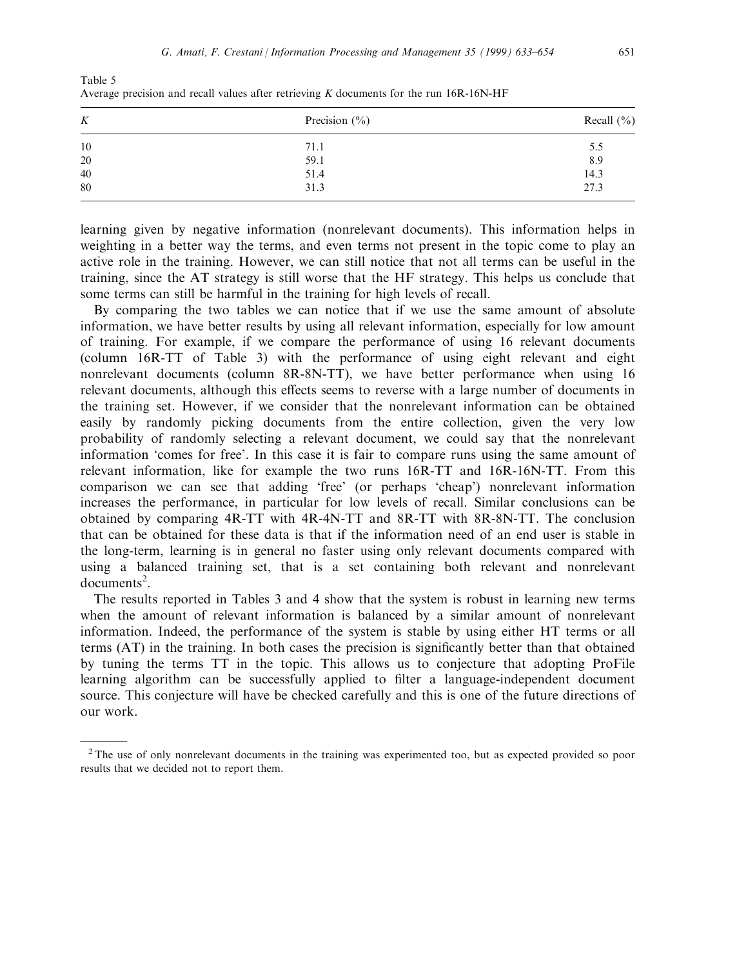| K      | Precision $(\% )$ | Recall $(\% )$ |
|--------|-------------------|----------------|
| 10     | 71.1              | 5.5            |
| $20\,$ | 59.1              | 8.9            |
| 40     | 51.4              | 14.3           |
| 80     | 31.3              | 27.3           |

Table 5 Average precision and recall values after retrieving K documents for the run 16R-16N-HF

learning given by negative information (nonrelevant documents). This information helps in weighting in a better way the terms, and even terms not present in the topic come to play an active role in the training. However, we can still notice that not all terms can be useful in the training, since the AT strategy is still worse that the HF strategy. This helps us conclude that some terms can still be harmful in the training for high levels of recall.

By comparing the two tables we can notice that if we use the same amount of absolute information, we have better results by using all relevant information, especially for low amount of training. For example, if we compare the performance of using 16 relevant documents (column 16R-TT of Table 3) with the performance of using eight relevant and eight nonrelevant documents (column 8R-8N-TT), we have better performance when using 16 relevant documents, although this effects seems to reverse with a large number of documents in the training set. However, if we consider that the nonrelevant information can be obtained easily by randomly picking documents from the entire collection, given the very low probability of randomly selecting a relevant document, we could say that the nonrelevant information 'comes for free'. In this case it is fair to compare runs using the same amount of relevant information, like for example the two runs 16R-TT and 16R-16N-TT. From this comparison we can see that adding `free' (or perhaps `cheap') nonrelevant information increases the performance, in particular for low levels of recall. Similar conclusions can be obtained by comparing 4R-TT with 4R-4N-TT and 8R-TT with 8R-8N-TT. The conclusion that can be obtained for these data is that if the information need of an end user is stable in the long-term, learning is in general no faster using only relevant documents compared with using a balanced training set, that is a set containing both relevant and nonrelevant  $documents<sup>2</sup>$ .

The results reported in Tables 3 and 4 show that the system is robust in learning new terms when the amount of relevant information is balanced by a similar amount of nonrelevant information. Indeed, the performance of the system is stable by using either HT terms or all terms (AT) in the training. In both cases the precision is significantly better than that obtained by tuning the terms TT in the topic. This allows us to conjecture that adopting ProFile learning algorithm can be successfully applied to filter a language-independent document source. This conjecture will have be checked carefully and this is one of the future directions of our work.

<sup>&</sup>lt;sup>2</sup> The use of only nonrelevant documents in the training was experimented too, but as expected provided so poor results that we decided not to report them.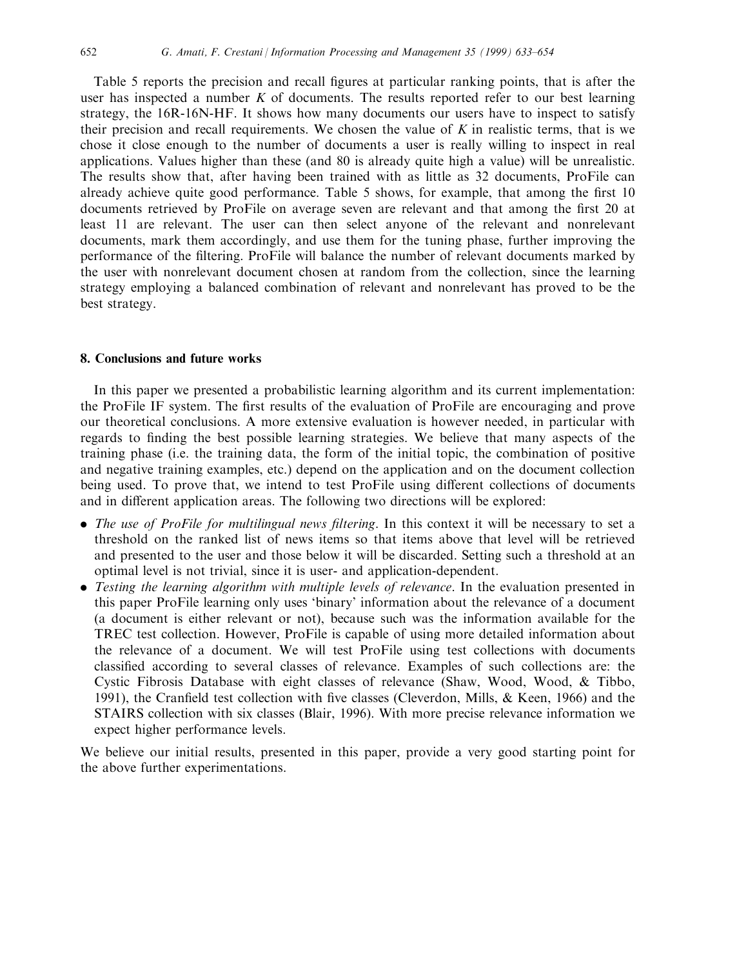Table 5 reports the precision and recall figures at particular ranking points, that is after the user has inspected a number  $K$  of documents. The results reported refer to our best learning strategy, the 16R-16N-HF. It shows how many documents our users have to inspect to satisfy their precision and recall requirements. We chosen the value of  $K$  in realistic terms, that is we chose it close enough to the number of documents a user is really willing to inspect in real applications. Values higher than these (and 80 is already quite high a value) will be unrealistic. The results show that, after having been trained with as little as 32 documents, ProFile can already achieve quite good performance. Table 5 shows, for example, that among the first 10 documents retrieved by ProFile on average seven are relevant and that among the first 20 at least 11 are relevant. The user can then select anyone of the relevant and nonrelevant documents, mark them accordingly, and use them for the tuning phase, further improving the performance of the filtering. ProFile will balance the number of relevant documents marked by the user with nonrelevant document chosen at random from the collection, since the learning strategy employing a balanced combination of relevant and nonrelevant has proved to be the best strategy.

## 8. Conclusions and future works

In this paper we presented a probabilistic learning algorithm and its current implementation: the ProFile IF system. The first results of the evaluation of ProFile are encouraging and prove our theoretical conclusions. A more extensive evaluation is however needed, in particular with regards to finding the best possible learning strategies. We believe that many aspects of the training phase (i.e. the training data, the form of the initial topic, the combination of positive and negative training examples, etc.) depend on the application and on the document collection being used. To prove that, we intend to test ProFile using different collections of documents and in different application areas. The following two directions will be explored:

- The use of ProFile for multilingual news filtering. In this context it will be necessary to set a threshold on the ranked list of news items so that items above that level will be retrieved and presented to the user and those below it will be discarded. Setting such a threshold at an optimal level is not trivial, since it is user- and application-dependent.
- Testing the learning algorithm with multiple levels of relevance. In the evaluation presented in this paper ProFile learning only uses `binary' information about the relevance of a document (a document is either relevant or not), because such was the information available for the TREC test collection. However, ProFile is capable of using more detailed information about the relevance of a document. We will test ProFile using test collections with documents classified according to several classes of relevance. Examples of such collections are: the Cystic Fibrosis Database with eight classes of relevance (Shaw, Wood, Wood, & Tibbo, 1991), the Cranfield test collection with five classes (Cleverdon, Mills, & Keen, 1966) and the STAIRS collection with six classes (Blair, 1996). With more precise relevance information we expect higher performance levels.

We believe our initial results, presented in this paper, provide a very good starting point for the above further experimentations.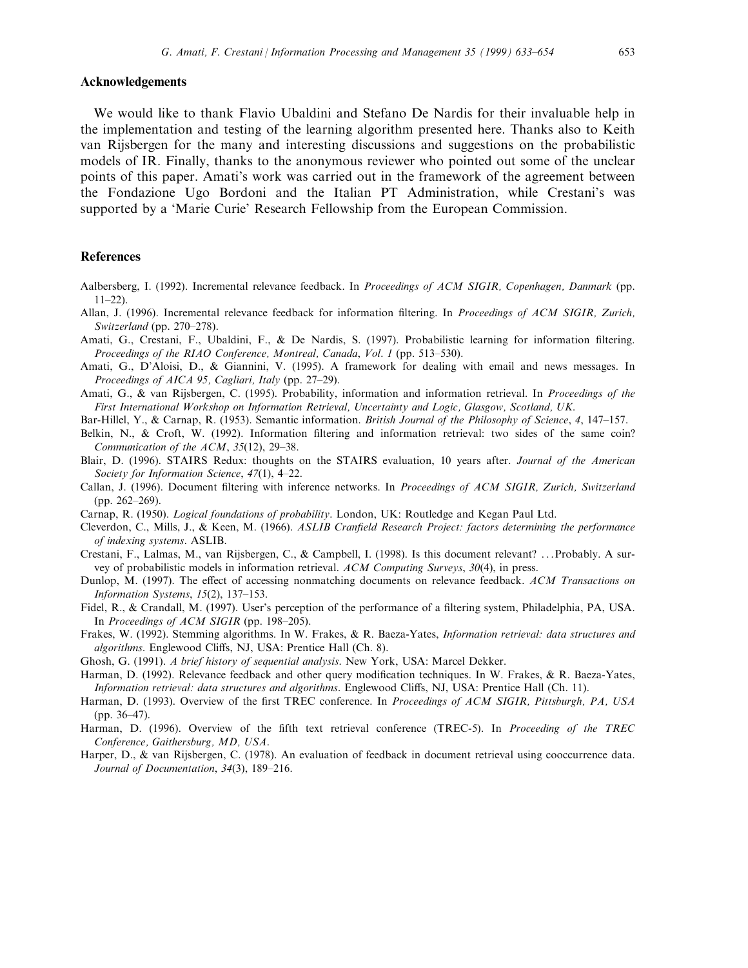## Acknowledgements

We would like to thank Flavio Ubaldini and Stefano De Nardis for their invaluable help in the implementation and testing of the learning algorithm presented here. Thanks also to Keith van Rijsbergen for the many and interesting discussions and suggestions on the probabilistic models of IR. Finally, thanks to the anonymous reviewer who pointed out some of the unclear points of this paper. Amati's work was carried out in the framework of the agreement between the Fondazione Ugo Bordoni and the Italian PT Administration, while Crestani's was supported by a 'Marie Curie' Research Fellowship from the European Commission.

#### References

- Aalbersberg, I. (1992). Incremental relevance feedback. In Proceedings of ACM SIGIR, Copenhagen, Danmark (pp.  $11 - 22$
- Allan, J. (1996). Incremental relevance feedback for information filtering. In Proceedings of ACM SIGIR, Zurich, Switzerland (pp.  $270-278$ ).
- Amati, G., Crestani, F., Ubaldini, F., & De Nardis, S. (1997). Probabilistic learning for information filtering. Proceedings of the RIAO Conference, Montreal, Canada, Vol. 1 (pp. 513-530).
- Amati, G., D'Aloisi, D., & Giannini, V. (1995). A framework for dealing with email and news messages. In Proceedings of AICA 95, Cagliari, Italy (pp.  $27-29$ ).
- Amati, G., & van Rijsbergen, C. (1995). Probability, information and information retrieval. In *Proceedings of the* First International Workshop on Information Retrieval, Uncertainty and Logic, Glasgow, Scotland, UK.
- Bar-Hillel, Y., & Carnap, R. (1953). Semantic information. British Journal of the Philosophy of Science, 4, 147–157.
- Belkin, N., & Croft, W. (1992). Information filtering and information retrieval: two sides of the same coin? Communication of the ACM,  $35(12)$ , 29-38.
- Blair, D. (1996). STAIRS Redux: thoughts on the STAIRS evaluation, 10 years after. Journal of the American Society for Information Science,  $47(1)$ ,  $4-22$ .
- Callan, J. (1996). Document filtering with inference networks. In Proceedings of ACM SIGIR, Zurich, Switzerland  $(pp. 262-269).$
- Carnap, R. (1950). Logical foundations of probability. London, UK: Routledge and Kegan Paul Ltd.
- Cleverdon, C., Mills, J., & Keen, M. (1966). ASLIB Cranfield Research Project: factors determining the performance of indexing systems. ASLIB.
- Crestani, F., Lalmas, M., van Rijsbergen, C., & Campbell, I. (1998). Is this document relevant? ...Probably. A survey of probabilistic models in information retrieval. ACM Computing Surveys, 30(4), in press.
- Dunlop, M. (1997). The effect of accessing nonmatching documents on relevance feedback. ACM Transactions on Information Systems,  $15(2)$ ,  $137-153$ .
- Fidel, R., & Crandall, M. (1997). User's perception of the performance of a filtering system, Philadelphia, PA, USA. In Proceedings of ACM SIGIR (pp. 198-205).
- Frakes, W. (1992). Stemming algorithms. In W. Frakes, & R. Baeza-Yates, Information retrieval: data structures and algorithms. Englewood Cliffs, NJ, USA: Prentice Hall (Ch. 8).
- Ghosh, G. (1991). A brief history of sequential analysis. New York, USA: Marcel Dekker.
- Harman, D. (1992). Relevance feedback and other query modification techniques. In W. Frakes, & R. Baeza-Yates, Information retrieval: data structures and algorithms. Englewood Cliffs, NJ, USA: Prentice Hall (Ch. 11).
- Harman, D. (1993). Overview of the first TREC conference. In Proceedings of ACM SIGIR, Pittsburgh, PA, USA  $(pp. 36-47)$ .
- Harman, D. (1996). Overview of the fifth text retrieval conference (TREC-5). In Proceeding of the TREC Conference, Gaithersburg, MD, USA.
- Harper, D., & van Rijsbergen, C. (1978). An evaluation of feedback in document retrieval using cooccurrence data. Journal of Documentation,  $34(3)$ ,  $189-216$ .